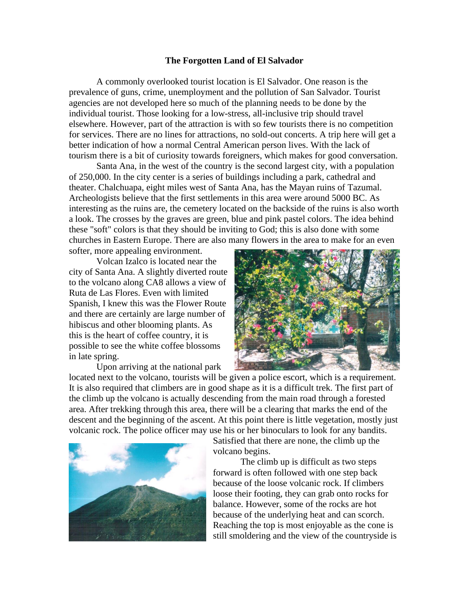## **The Forgotten Land of El Salvador**

A commonly overlooked tourist location is El Salvador. One reason is the prevalence of guns, crime, unemployment and the pollution of San Salvador. Tourist agencies are not developed here so much of the planning needs to be done by the individual tourist. Those looking for a low-stress, all-inclusive trip should travel elsewhere. However, part of the attraction is with so few tourists there is no competition for services. There are no lines for attractions, no sold-out concerts. A trip here will get a better indication of how a normal Central American person lives. With the lack of tourism there is a bit of curiosity towards foreigners, which makes for good conversation.

Santa Ana, in the west of the country is the second largest city, with a population of 250,000. In the city center is a series of buildings including a park, cathedral and theater. Chalchuapa, eight miles west of Santa Ana, has the Mayan ruins of Tazumal. Archeologists believe that the first settlements in this area were around 5000 BC. As interesting as the ruins are, the cemetery located on the backside of the ruins is also worth a look. The crosses by the graves are green, blue and pink pastel colors. The idea behind these "soft" colors is that they should be inviting to God; this is also done with some churches in Eastern Europe. There are also many flowers in the area to make for an even

softer, more appealing environment.

Volcan Izalco is located near the city of Santa Ana. A slightly diverted route to the volcano along CA8 allows a view of Ruta de Las Flores. Even with limited Spanish, I knew this was the Flower Route and there are certainly are large number of hibiscus and other blooming plants. As this is the heart of coffee country, it is possible to see the white coffee blossoms in late spring.

Upon arriving at the national park



located next to the volcano, tourists will be given a police escort, which is a requirement. It is also required that climbers are in good shape as it is a difficult trek. The first part of the climb up the volcano is actually descending from the main road through a forested area. After trekking through this area, there will be a clearing that marks the end of the descent and the beginning of the ascent. At this point there is little vegetation, mostly just volcanic rock. The police officer may use his or her binoculars to look for any bandits.



Satisfied that there are none, the climb up the volcano begins.

The climb up is difficult as two steps forward is often followed with one step back because of the loose volcanic rock. If climbers loose their footing, they can grab onto rocks for balance. However, some of the rocks are hot because of the underlying heat and can scorch. Reaching the top is most enjoyable as the cone is still smoldering and the view of the countryside is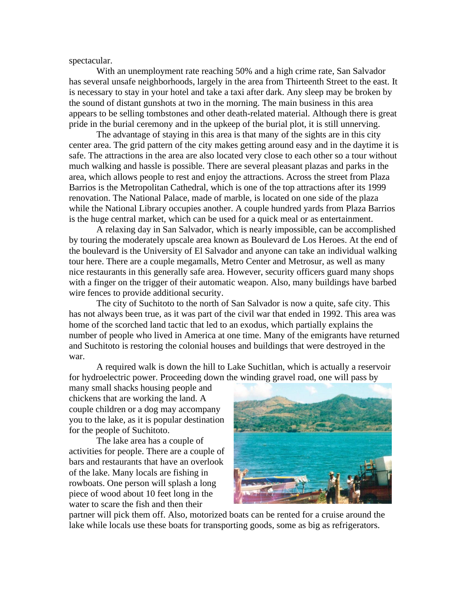spectacular.

With an unemployment rate reaching 50% and a high crime rate, San Salvador has several unsafe neighborhoods, largely in the area from Thirteenth Street to the east. It is necessary to stay in your hotel and take a taxi after dark. Any sleep may be broken by the sound of distant gunshots at two in the morning. The main business in this area appears to be selling tombstones and other death-related material. Although there is great pride in the burial ceremony and in the upkeep of the burial plot, it is still unnerving.

The advantage of staying in this area is that many of the sights are in this city center area. The grid pattern of the city makes getting around easy and in the daytime it is safe. The attractions in the area are also located very close to each other so a tour without much walking and hassle is possible. There are several pleasant plazas and parks in the area, which allows people to rest and enjoy the attractions. Across the street from Plaza Barrios is the Metropolitan Cathedral, which is one of the top attractions after its 1999 renovation. The National Palace, made of marble, is located on one side of the plaza while the National Library occupies another. A couple hundred yards from Plaza Barrios is the huge central market, which can be used for a quick meal or as entertainment.

A relaxing day in San Salvador, which is nearly impossible, can be accomplished by touring the moderately upscale area known as Boulevard de Los Heroes. At the end of the boulevard is the University of El Salvador and anyone can take an individual walking tour here. There are a couple megamalls, Metro Center and Metrosur, as well as many nice restaurants in this generally safe area. However, security officers guard many shops with a finger on the trigger of their automatic weapon. Also, many buildings have barbed wire fences to provide additional security.

The city of Suchitoto to the north of San Salvador is now a quite, safe city. This has not always been true, as it was part of the civil war that ended in 1992. This area was home of the scorched land tactic that led to an exodus, which partially explains the number of people who lived in America at one time. Many of the emigrants have returned and Suchitoto is restoring the colonial houses and buildings that were destroyed in the war.

A required walk is down the hill to Lake Suchitlan, which is actually a reservoir for hydroelectric power. Proceeding down the winding gravel road, one will pass by

many small shacks housing people and chickens that are working the land. A couple children or a dog may accompany you to the lake, as it is popular destination for the people of Suchitoto.

The lake area has a couple of activities for people. There are a couple of bars and restaurants that have an overlook of the lake. Many locals are fishing in rowboats. One person will splash a long piece of wood about 10 feet long in the water to scare the fish and then their



partner will pick them off. Also, motorized boats can be rented for a cruise around the lake while locals use these boats for transporting goods, some as big as refrigerators.